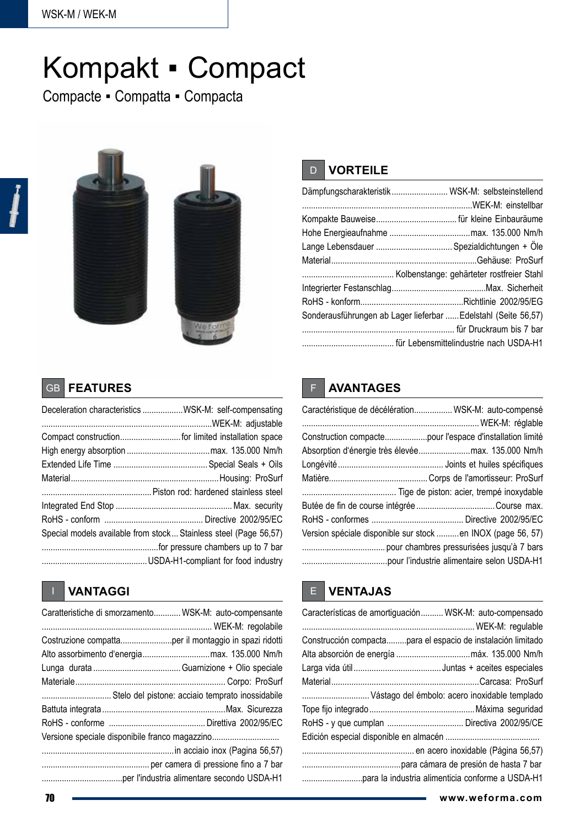# Kompakt ▪ Compact

Compacte ▪ Compatta ▪ Compacta



## D **VORTEILE**

| Dämpfungscharakteristik  WSK-M: selbsteinstellend              |  |
|----------------------------------------------------------------|--|
|                                                                |  |
|                                                                |  |
|                                                                |  |
|                                                                |  |
|                                                                |  |
|                                                                |  |
|                                                                |  |
|                                                                |  |
| Sonderausführungen ab Lager lieferbar  Edelstahl (Seite 56,57) |  |
|                                                                |  |
|                                                                |  |

#### GB **FEATURES**

| Deceleration characteristics WSK-M: self-compensating            |
|------------------------------------------------------------------|
|                                                                  |
|                                                                  |
|                                                                  |
|                                                                  |
|                                                                  |
|                                                                  |
|                                                                  |
|                                                                  |
| Special models available from stock Stainless steel (Page 56,57) |
|                                                                  |
|                                                                  |
|                                                                  |

### I **VANTAGGI**

| Caratteristiche di smorzamento WSK-M: auto-compensante |  |
|--------------------------------------------------------|--|
|                                                        |  |
| Costruzione compattaper il montaggio in spazi ridotti  |  |
|                                                        |  |
|                                                        |  |
|                                                        |  |
| Stelo del pistone: acciaio temprato inossidabile       |  |
|                                                        |  |
|                                                        |  |
|                                                        |  |
|                                                        |  |
|                                                        |  |
|                                                        |  |

## F **AVANTAGES**

| Caractéristique de décélération WSK-M: auto-compensé        |  |
|-------------------------------------------------------------|--|
| Construction compactepour l'espace d'installation limité    |  |
|                                                             |  |
|                                                             |  |
|                                                             |  |
|                                                             |  |
|                                                             |  |
|                                                             |  |
| Version spéciale disponible sur stock en INOX (page 56, 57) |  |
|                                                             |  |
|                                                             |  |

#### E **VENTAJAS**

| Características de amortiguación WSK-M: auto-compensado      |
|--------------------------------------------------------------|
|                                                              |
| Construcción compactapara el espacio de instalación limitado |
|                                                              |
|                                                              |
|                                                              |
| Vástago del émbolo: acero inoxidable templado                |
|                                                              |
|                                                              |
|                                                              |
|                                                              |
|                                                              |
|                                                              |